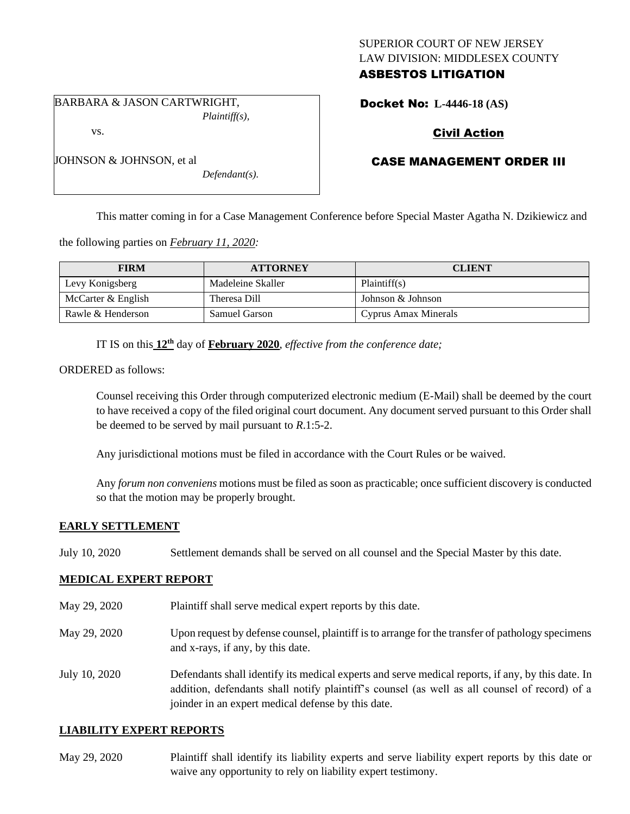## SUPERIOR COURT OF NEW JERSEY LAW DIVISION: MIDDLESEX COUNTY ASBESTOS LITIGATION

BARBARA & JASON CARTWRIGHT, *Plaintiff(s),*

vs.

JOHNSON & JOHNSON, et al

Docket No: **L-4446-18 (AS)** 

# Civil Action

## CASE MANAGEMENT ORDER III

This matter coming in for a Case Management Conference before Special Master Agatha N. Dzikiewicz and

the following parties on *February 11, 2020:*

| <b>FIRM</b>        | <b>ATTORNEY</b>      | <b>CLIENT</b>        |
|--------------------|----------------------|----------------------|
| Levy Konigsberg    | Madeleine Skaller    | Plaintiff(s)         |
| McCarter & English | Theresa Dill         | Johnson & Johnson    |
| Rawle & Henderson  | <b>Samuel Garson</b> | Cyprus Amax Minerals |

IT IS on this **12th** day of **February 2020**, *effective from the conference date;*

*Defendant(s).*

ORDERED as follows:

Counsel receiving this Order through computerized electronic medium (E-Mail) shall be deemed by the court to have received a copy of the filed original court document. Any document served pursuant to this Order shall be deemed to be served by mail pursuant to *R*.1:5-2.

Any jurisdictional motions must be filed in accordance with the Court Rules or be waived.

Any *forum non conveniens* motions must be filed as soon as practicable; once sufficient discovery is conducted so that the motion may be properly brought.

#### **EARLY SETTLEMENT**

July 10, 2020 Settlement demands shall be served on all counsel and the Special Master by this date.

#### **MEDICAL EXPERT REPORT**

- May 29, 2020 Plaintiff shall serve medical expert reports by this date.
- May 29, 2020 Upon request by defense counsel, plaintiff is to arrange for the transfer of pathology specimens and x-rays, if any, by this date.
- July 10, 2020 Defendants shall identify its medical experts and serve medical reports, if any, by this date. In addition, defendants shall notify plaintiff's counsel (as well as all counsel of record) of a joinder in an expert medical defense by this date.

#### **LIABILITY EXPERT REPORTS**

May 29, 2020 Plaintiff shall identify its liability experts and serve liability expert reports by this date or waive any opportunity to rely on liability expert testimony.